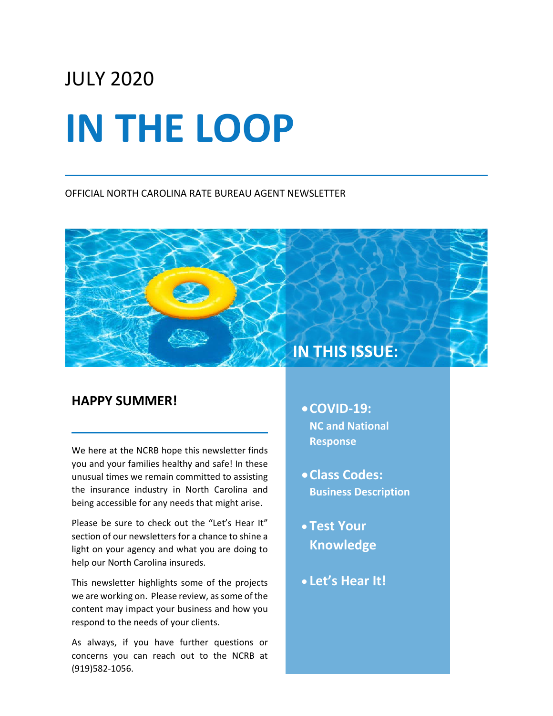# JULY 2020 **IN THE LOOP**

#### OFFICIAL NORTH CAROLINA RATE BUREAU AGENT NEWSLETTER

## **HAPPY SUMMER!**

We here at the NCRB hope this newsletter finds you and your families healthy and safe! In these unusual times we remain committed to assisting the insurance industry in North Carolina and being accessible for any needs that might arise.

Please be sure to check out the "Let's Hear It" section of our newsletters for a chance to shine a light on your agency and what you are doing to help our North Carolina insureds.

This newsletter highlights some of the projects we are working on. Please review, as some of the content may impact your business and how you respond to the needs of your clients.

As always, if you have further questions or concerns you can reach out to the NCRB at (919)582-1056.

# •**COVID-19: NC and National**

**IN THIS ISSUE:**

- **Response**
- •**Class Codes: Business Description**
- **Test Your Knowledge**
- **Let's Hear It!**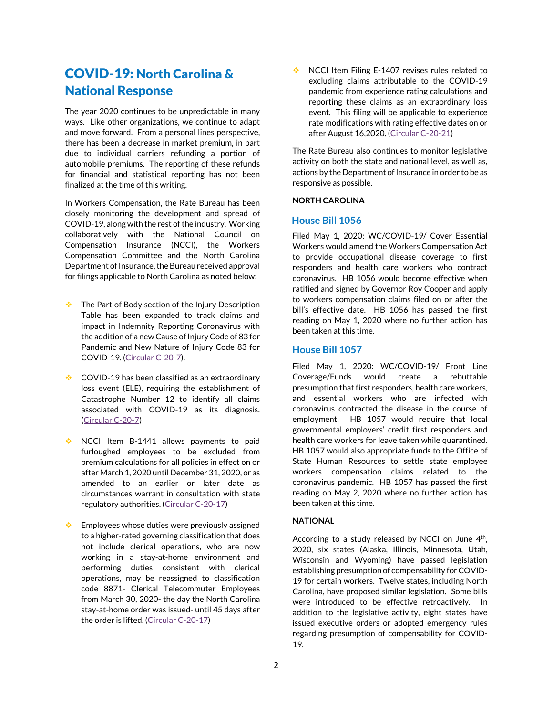# COVID-19: North Carolina & National Response

The year 2020 continues to be unpredictable in many ways. Like other organizations, we continue to adapt and move forward. From a personal lines perspective, there has been a decrease in market premium, in part due to individual carriers refunding a portion of automobile premiums. The reporting of these refunds for financial and statistical reporting has not been finalized at the time of this writing.

In Workers Compensation, the Rate Bureau has been closely monitoring the development and spread of COVID-19, along with the rest of the industry. Working collaboratively with the National Council on Compensation Insurance (NCCI), the Workers Compensation Committee and the North Carolina Department of Insurance, the Bureau received approval for filings applicable to North Carolina as noted below:

- The Part of Body section of the Injury Description Table has been expanded to track claims and impact in Indemnity Reporting Coronavirus with the addition of a new Cause of Injury Code of 83 for Pandemic and New Nature of Injury Code 83 for COVID-19. [\(Circular C-20-7\)](http://www.ncrb.org/Portals/0/ncrb/circular%20letters/workers%20comp/2020/C-20-7%20Data%20Reporting%20for%20COVID-19%20Coronavirus%20%20Claim%20Reporting%20Requirements.pdf?ver=2020-03-24-140932-063).
- COVID-19 has been classified as an extraordinary loss event (ELE), requiring the establishment of Catastrophe Number 12 to identify all claims associated with COVID-19 as its diagnosis. [\(Circular C-20-7\)](http://www.ncrb.org/Portals/0/ncrb/circular%20letters/workers%20comp/2020/C-20-7%20Data%20Reporting%20for%20COVID-19%20Coronavirus%20%20Claim%20Reporting%20Requirements.pdf?ver=2020-03-24-140932-063)
- NCCI Item B-1441 allows payments to paid furloughed employees to be excluded from premium calculations for all policies in effect on or after March 1, 2020 until December 31, 2020, or as amended to an earlier or later date as circumstances warrant in consultation with state regulatory authorities. [\(Circular C-20-17\)](http://www.ncrb.org/Portals/0/ncrb/circular%20letters/workers%20comp/2020/C-20-17%20Revisions%20to%20NC%20Basic%20Manual%20Rules%20Related%20to%20COVID-19%20(Coronavirus)%20Pandemic.pdf?ver=2020-05-07-165354-967)
- Employees whose duties were previously assigned to a higher-rated governing classification that does not include clerical operations, who are now working in a stay-at-home environment and performing duties consistent with clerical operations, may be reassigned to classification code 8871- Clerical Telecommuter Employees from March 30, 2020- the day the North Carolina stay-at-home order was issued- until 45 days after the order is lifted. [\(Circular C-20-17\)](http://www.ncrb.org/Portals/0/ncrb/circular%20letters/workers%20comp/2020/C-20-17%20Revisions%20to%20NC%20Basic%20Manual%20Rules%20Related%20to%20COVID-19%20(Coronavirus)%20Pandemic.pdf?ver=2020-05-07-165354-967)

NCCI Item Filing E-1407 revises rules related to excluding claims attributable to the COVID-19 pandemic from experience rating calculations and reporting these claims as an extraordinary loss event. This filing will be applicable to experience rate modifications with rating effective dates on or after August 16,2020. [\(Circular C-20-21\)](http://www.ncrb.org/Portals/0/ncrb/circular%20letters/workers%20comp/2020/C-20-21%20NCCI%20Item%20E-1407%20%20Exclusion%20of%20COVID-19%20Claims.pdf?ver=2020-06-16-162623-933)

The Rate Bureau also continues to monitor legislative activity on both the state and national level, as well as, actions by the Department of Insurance in order to be as responsive as possible.

#### **NORTH CAROLINA**

#### **House Bill 1056**

Filed May 1, 2020: WC/COVID-19/ Cover Essential Workers would amend the Workers Compensation Act to provide occupational disease coverage to first responders and health care workers who contract coronavirus. HB 1056 would become effective when ratified and signed by Governor Roy Cooper and apply to workers compensation claims filed on or after the bill's effective date. HB 1056 has passed the first reading on May 1, 2020 where no further action has been taken at this time.

#### **House Bill 1057**

Filed May 1, 2020: WC/COVID-19/ Front Line Coverage/Funds would create a rebuttable presumption that first responders, health care workers, and essential workers who are infected with coronavirus contracted the disease in the course of employment. HB 1057 would require that local governmental employers' credit first responders and health care workers for leave taken while quarantined. HB 1057 would also appropriate funds to the Office of State Human Resources to settle state employee workers compensation claims related to the coronavirus pandemic. HB 1057 has passed the first reading on May 2, 2020 where no further action has been taken at this time.

#### **NATIONAL**

According to a study released by NCCI on June  $4<sup>th</sup>$ , 2020, six states (Alaska, Illinois, Minnesota, Utah, Wisconsin and Wyoming) have passed legislation establishing presumption of compensability for COVID-19 for certain workers. Twelve states, including North Carolina, have proposed similar legislation. Some bills were introduced to be effective retroactively. In addition to the legislative activity, eight states have issued executive orders or adopted emergency rules regarding presumption of compensability for COVID-19.